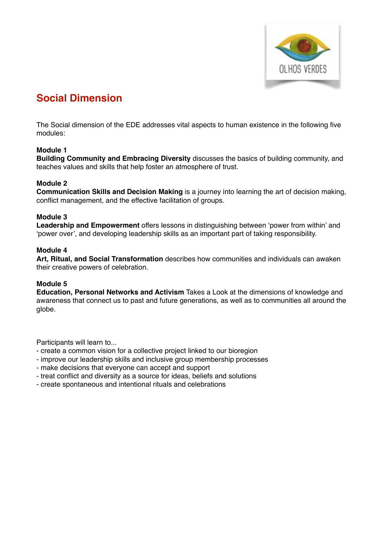

## **Social Dimension**

The Social dimension of the EDE addresses vital aspects to human existence in the following five modules:

## **Module 1**

**Building Community and Embracing Diversity** discusses the basics of building community, and teaches values and skills that help foster an atmosphere of trust.

## **Module 2**

**Communication Skills and Decision Making** is a journey into learning the art of decision making, conflict management, and the effective facilitation of groups.

## **Module 3**

**Leadership and Empowerment** offers lessons in distinguishing between 'power from within' and 'power over', and developing leadership skills as an important part of taking responsibility.

## **Module 4**

**Art, Ritual, and Social Transformation** describes how communities and individuals can awaken their creative powers of celebration.

## **Module 5**

**Education, Personal Networks and Activism** Takes a Look at the dimensions of knowledge and awareness that connect us to past and future generations, as well as to communities all around the globe.

- create a common vision for a collective project linked to our bioregion
- improve our leadership skills and inclusive group membership processes
- make decisions that everyone can accept and support
- treat conflict and diversity as a source for ideas, beliefs and solutions
- create spontaneous and intentional rituals and celebrations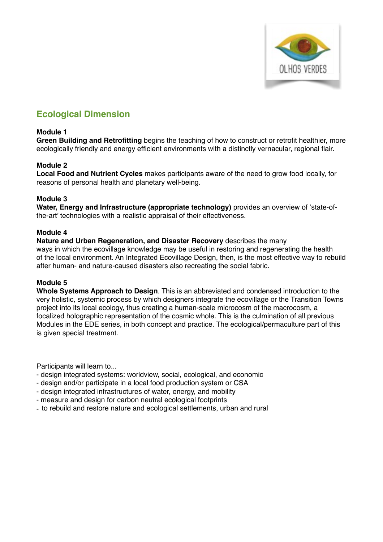

## **Ecological Dimension**

### **Module 1**

**Green Building and Retrofitting** begins the teaching of how to construct or retrofit healthier, more ecologically friendly and energy efficient environments with a distinctly vernacular, regional flair.

## **Module 2**

**Local Food and Nutrient Cycles** makes participants aware of the need to grow food locally, for reasons of personal health and planetary well‐being.

## **Module 3**

**Water, Energy and Infrastructure (appropriate technology)** provides an overview of 'state-ofthe-art' technologies with a realistic appraisal of their effectiveness.

## **Module 4**

### **Nature and Urban Regeneration, and Disaster Recovery** describes the many

ways in which the ecovillage knowledge may be useful in restoring and regenerating the health of the local environment. An Integrated Ecovillage Design, then, is the most effective way to rebuild after human- and nature-caused disasters also recreating the social fabric.

## **Module 5**

**Whole Systems Approach to Design**. This is an abbreviated and condensed introduction to the very holistic, systemic process by which designers integrate the ecovillage or the Transition Towns project into its local ecology, thus creating a human-scale microcosm of the macrocosm, a focalized holographic representation of the cosmic whole. This is the culmination of all previous Modules in the EDE series, in both concept and practice. The ecological/permaculture part of this is given special treatment.

- design integrated systems: worldview, social, ecological, and economic
- design and/or participate in a local food production system or CSA
- design integrated infrastructures of water, energy, and mobility
- measure and design for carbon neutral ecological footprints
- to rebuild and restore nature and ecological settlements, urban and rural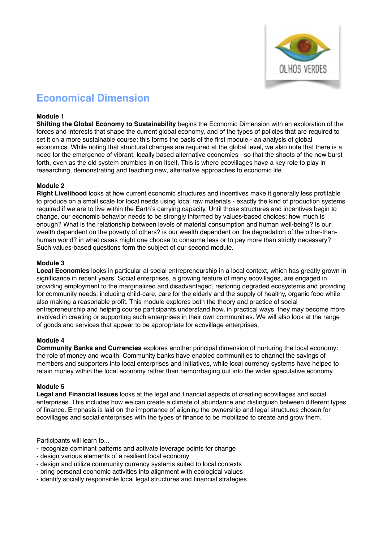

# **Economical Dimension**

### **Module 1**

**Shifting the Global Economy to Sustainability** begins the Economic Dimension with an exploration of the forces and interests that shape the current global economy, and of the types of policies that are required to set it on a more sustainable course: this forms the basis of the first module - an analysis of global economics. While noting that structural changes are required at the global level, we also note that there is a need for the emergence of vibrant, locally based alternative economies - so that the shoots of the new burst forth, even as the old system crumbles in on itself. This is where ecovillages have a key role to play in researching, demonstrating and teaching new, alternative approaches to economic life.

### **Module 2**

**Right Livelihood** looks at how current economic structures and incentives make it generally less profitable to produce on a small scale for local needs using local raw materials - exactly the kind of production systems required if we are to live within the Earth's carrying capacity. Until those structures and incentives begin to change, our economic behavior needs to be strongly informed by values-based choices: how much is enough? What is the relationship between levels of material consumption and human well-being? Is our wealth dependent on the poverty of others? is our wealth dependent on the degradation of the other-thanhuman world? in what cases might one choose to consume less or to pay more than strictly necessary? Such values-based questions form the subject of our second module.

#### **Module 3**

**Local Economies** looks in particular at social entrepreneurship in a local context, which has greatly grown in significance in recent years. Social enterprises, a growing feature of many ecovillages, are engaged in providing employment to the marginalized and disadvantaged, restoring degraded ecosystems and providing for community needs, including child-care, care for the elderly and the supply of healthy, organic food while also making a reasonable profit. This module explores both the theory and practice of social entrepreneurship and helping course participants understand how, in practical ways, they may become more involved in creating or supporting such enterprises in their own communities. We will also look at the range of goods and services that appear to be appropriate for ecovillage enterprises.

#### **Module 4**

**Community Banks and Currencies** explores another principal dimension of nurturing the local economy: the role of money and wealth. Community banks have enabled communities to channel the savings of members and supporters into local enterprises and initiatives, while local currency systems have helped to retain money within the local economy rather than hemorrhaging out into the wider speculative economy.

#### **Module 5**

**Legal and Financial Issues** looks at the legal and financial aspects of creating ecovillages and social enterprises. This includes how we can create a climate of abundance and distinguish between different types of finance. Emphasis is laid on the importance of aligning the ownership and legal structures chosen for ecovillages and social enterprises with the types of finance to be mobilized to create and grow them.

- recognize dominant patterns and activate leverage points for change
- design various elements of a resilient local economy
- design and utilize community currency systems suited to local contexts
- bring personal economic activities into alignment with ecological values
- identify socially responsible local legal structures and financial strategies